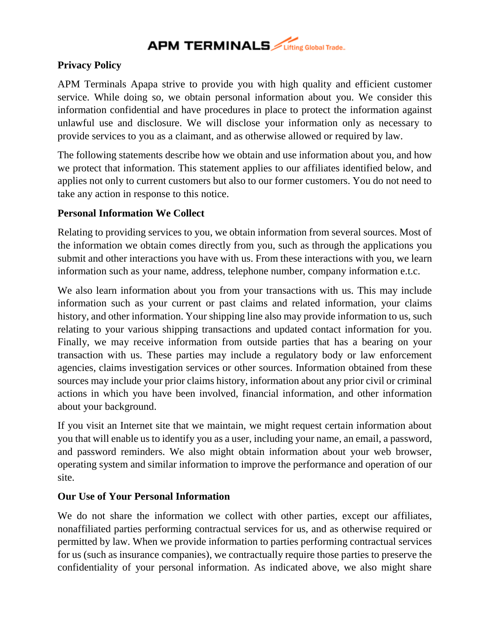## **APM TERMINALS** *Lifting* Global Trade.

### **Privacy Policy**

APM Terminals Apapa strive to provide you with high quality and efficient customer service. While doing so, we obtain personal information about you. We consider this information confidential and have procedures in place to protect the information against unlawful use and disclosure. We will disclose your information only as necessary to provide services to you as a claimant, and as otherwise allowed or required by law.

The following statements describe how we obtain and use information about you, and how we protect that information. This statement applies to our affiliates identified below, and applies not only to current customers but also to our former customers. You do not need to take any action in response to this notice.

### **Personal Information We Collect**

Relating to providing services to you, we obtain information from several sources. Most of the information we obtain comes directly from you, such as through the applications you submit and other interactions you have with us. From these interactions with you, we learn information such as your name, address, telephone number, company information e.t.c.

We also learn information about you from your transactions with us. This may include information such as your current or past claims and related information, your claims history, and other information. Your shipping line also may provide information to us, such relating to your various shipping transactions and updated contact information for you. Finally, we may receive information from outside parties that has a bearing on your transaction with us. These parties may include a regulatory body or law enforcement agencies, claims investigation services or other sources. Information obtained from these sources may include your prior claims history, information about any prior civil or criminal actions in which you have been involved, financial information, and other information about your background.

If you visit an Internet site that we maintain, we might request certain information about you that will enable us to identify you as a user, including your name, an email, a password, and password reminders. We also might obtain information about your web browser, operating system and similar information to improve the performance and operation of our site.

### **Our Use of Your Personal Information**

We do not share the information we collect with other parties, except our affiliates, nonaffiliated parties performing contractual services for us, and as otherwise required or permitted by law. When we provide information to parties performing contractual services for us (such as insurance companies), we contractually require those parties to preserve the confidentiality of your personal information. As indicated above, we also might share